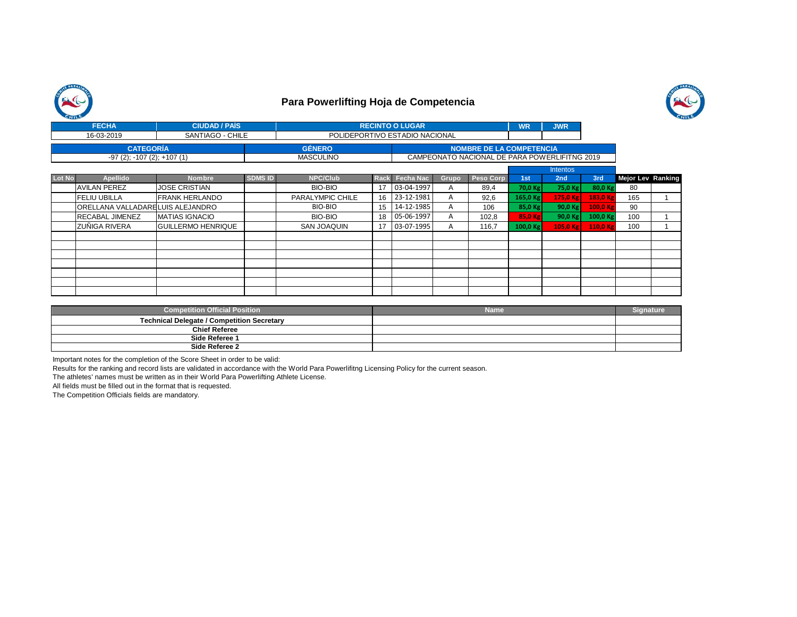



|        | <b>FECHA</b>                     | <b>CIUDAD / PAIS</b>      |                | <b>RECINTO O LUGAR</b>         |             |                  |              | <b>WR</b>                                     | <b>JWR</b> |                 |          |                          |  |
|--------|----------------------------------|---------------------------|----------------|--------------------------------|-------------|------------------|--------------|-----------------------------------------------|------------|-----------------|----------|--------------------------|--|
|        | 16-03-2019                       | SANTIAGO - CHILE          |                | POLIDEPORTIVO ESTADIO NACIONAL |             |                  |              |                                               |            |                 |          |                          |  |
|        | <b>CATEGORÍA</b>                 |                           |                | <b>GÉNERO</b>                  |             |                  |              | <b>NOMBRE DE LA COMPETENCIA</b>               |            |                 |          |                          |  |
|        | $-97(2)$ ; $-107(2)$ ; $+107(1)$ |                           |                | <b>MASCULINO</b>               |             |                  |              | CAMPEONATO NACIONAL DE PARA POWERLIFITNG 2019 |            |                 |          |                          |  |
|        |                                  |                           |                |                                |             |                  |              |                                               |            | <b>Intentos</b> |          |                          |  |
| Lot No | <b>Apellido</b>                  | <b>Nombre</b>             | <b>SDMS ID</b> | <b>NPC/Club</b>                | <b>Rack</b> | <b>Fecha Nac</b> | <b>Grupo</b> | Peso Corp                                     | 1st        | 2nd             | 3rd      | <b>Mejor Lev Ranking</b> |  |
|        | <b>AVILAN PEREZ</b>              | <b>JOSE CRISTIAN</b>      |                | BIO-BIO                        | 17          | 03-04-1997       | A            | 89,4                                          | 70,0 Kg    | 75,0 Kg         | 80,0 Kg  | 80                       |  |
|        | <b>FELIU UBILLA</b>              | <b>IFRANK HERLANDO</b>    |                | PARALYMPIC CHILE               | 16          | 23-12-1981       | A            | 92,6                                          | $165,0$ Kg | 175,0 Kg        | 183,0 Kg | 165                      |  |
|        | ORELLANA VALLADARELUIS ALEJANDRO |                           |                | BIO-BIO                        | 15          | 14-12-1985       | A            | 106                                           | 85,0 Kg    | 90,0 Kg         | 100,0 Kg | 90                       |  |
|        | <b>RECABAL JIMENEZ</b>           | <b>MATIAS IGNACIO</b>     |                | BIO-BIO                        | 18          | 05-06-1997       | A            | 102,8                                         | 85,0 Kg    | 90,0 Kg         | 100,0 Kg | 100                      |  |
|        | ZUÑIGA RIVERA                    | <b>GUILLERMO HENRIQUE</b> |                | SAN JOAQUIN                    | 17          | 03-07-1995       | A            | 116.7                                         | 100,0 Kg   | $105,0$ Kg      | 110,0 Kg | 100                      |  |
|        |                                  |                           |                |                                |             |                  |              |                                               |            |                 |          |                          |  |
|        |                                  |                           |                |                                |             |                  |              |                                               |            |                 |          |                          |  |
|        |                                  |                           |                |                                |             |                  |              |                                               |            |                 |          |                          |  |
|        |                                  |                           |                |                                |             |                  |              |                                               |            |                 |          |                          |  |
|        |                                  |                           |                |                                |             |                  |              |                                               |            |                 |          |                          |  |
|        |                                  |                           |                |                                |             |                  |              |                                               |            |                 |          |                          |  |
|        |                                  |                           |                |                                |             |                  |              |                                               |            |                 |          |                          |  |

| <b>Competition Official Position</b>              | Name |  |
|---------------------------------------------------|------|--|
| <b>Technical Delegate / Competition Secretary</b> |      |  |
| <b>Chief Referee</b>                              |      |  |
| Side Referee 1                                    |      |  |
| Side Referee 2                                    |      |  |

Important notes for the completion of the Score Sheet in order to be valid:

Results for the ranking and record lists are validated in accordance with the World Para Powerlifitng Licensing Policy for the current season.

The athletes' names must be written as in their World Para Powerlifting Athlete License.

All fields must be filled out in the format that is requested.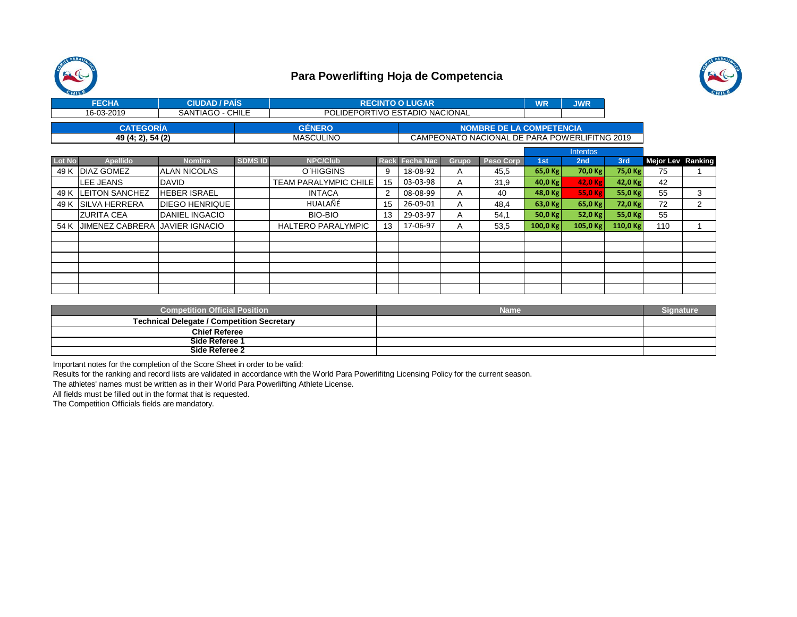



| <b>FECHA</b>      | <b>CIUDAD / PAIS</b> |                  | <b>RECINTO O LUGAR</b>                        |  |  |  |  |  |  |
|-------------------|----------------------|------------------|-----------------------------------------------|--|--|--|--|--|--|
| 16-03-2019        | SANTIAGO - CHILE     |                  | POLIDEPORTIVO ESTADIO NACIONAL                |  |  |  |  |  |  |
| <b>CATEGORIA</b>  |                      | <b>GENERO</b>    | NOMBRE DE LA COMPETENCIA                      |  |  |  |  |  |  |
| 49 (4; 2), 54 (2) |                      | <b>MASCULINO</b> | CAMPEONATO NACIONAL DE PARA POWERLIFITNG 2019 |  |  |  |  |  |  |

|               |                                       |                       |                |                           |    |                |       |                  |            | <b>Intentos</b> |          |                          |   |
|---------------|---------------------------------------|-----------------------|----------------|---------------------------|----|----------------|-------|------------------|------------|-----------------|----------|--------------------------|---|
| <b>Lot No</b> | <b>Apellido</b>                       | <b>Nombre</b>         | <b>SDMS ID</b> | <b>NPC/Club</b>           |    | Rack Fecha Nac | Grupo | <b>Peso Corp</b> | 1st        | 2 <sub>nd</sub> | 3rd      | <b>Mejor Lev Ranking</b> |   |
| 49 K          | <b>IDIAZ GOMEZ</b>                    | IALAN NICOLAS         |                | O"HIGGINS                 | 9  | 18-08-92       | A     | 45,5             | $65,0$ Kg  | 70,0 Kg         | 75,0 Kg  | 75                       |   |
|               | <b>LEE JEANS</b>                      | DAVID                 |                | TEAM PARALYMPIC CHILE     | 15 | 03-03-98       | A     | 31,9             | 40,0 $Kg$  | 42.0 Kg         | 42,0 Kg  | 42                       |   |
|               | 49 K   LEITON SANCHEZ                 | <b>HEBER ISRAEL</b>   |                | <b>INTACA</b>             |    | 08-08-99       | A     | 40               | 48,0 $Kg$  | 55,0 Kg         | 55,0 Kg  | 55                       | 3 |
| 49 K          | <b>SILVA HERRERA</b>                  | <b>DIEGO HENRIQUE</b> |                | HUALAÑÉ                   | 15 | 26-09-01       | A     | 48.4             | $63,0$ Kg  | 65,0 Kg         | 72,0 Kg  | 72                       | 2 |
|               | <b>ZURITA CEA</b>                     | <b>DANIEL INGACIO</b> |                | BIO-BIO                   | 13 | 29-03-97       | A     | 54,1             | 50,0 $Kg$  | 52,0 Kg         | 55,0 Kg  | 55                       |   |
| 54 K          | <b>JIMENEZ CABRERA JAVIER IGNACIO</b> |                       |                | <b>HALTERO PARALYMPIC</b> | 13 | 17-06-97       | A     | 53,5             | 100,0 $Kg$ | 105,0 Kg        | 110,0 Kg | 110                      |   |
|               |                                       |                       |                |                           |    |                |       |                  |            |                 |          |                          |   |
|               |                                       |                       |                |                           |    |                |       |                  |            |                 |          |                          |   |
|               |                                       |                       |                |                           |    |                |       |                  |            |                 |          |                          |   |
|               |                                       |                       |                |                           |    |                |       |                  |            |                 |          |                          |   |
|               |                                       |                       |                |                           |    |                |       |                  |            |                 |          |                          |   |
|               |                                       |                       |                |                           |    |                |       |                  |            |                 |          |                          |   |

| <b>Competition Official Position</b>              | Name | Sianature |
|---------------------------------------------------|------|-----------|
| <b>Technical Delegate / Competition Secretary</b> |      |           |
| <b>Chief Referee</b>                              |      |           |
| Side Referee 1                                    |      |           |
| Side Referee 2                                    |      |           |

Important notes for the completion of the Score Sheet in order to be valid:

Results for the ranking and record lists are validated in accordance with the World Para Powerlifitng Licensing Policy for the current season.

The athletes' names must be written as in their World Para Powerlifting Athlete License.

All fields must be filled out in the format that is requested.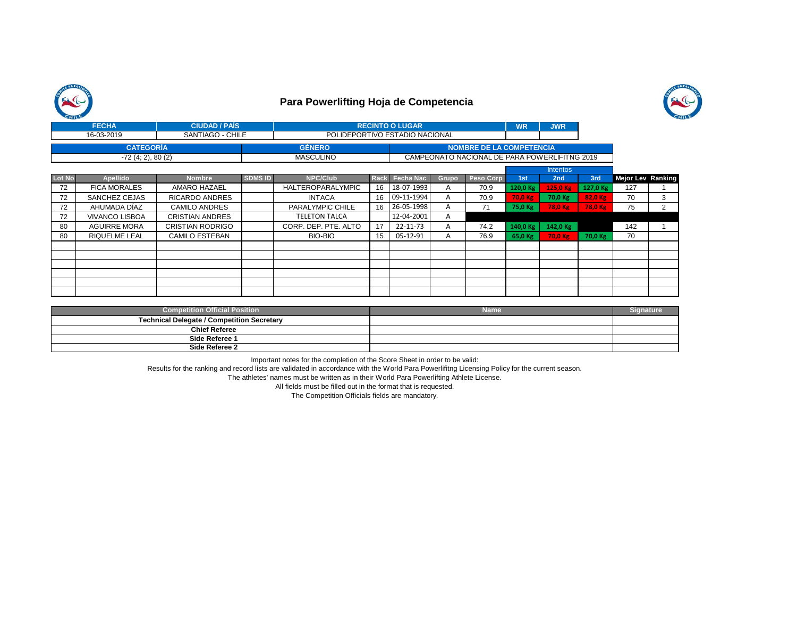



|               | <b>FECHA</b>          | <b>CIUDAD / PAIS</b>    |                | <b>RECINTO O LUGAR</b>   |      |                                |              |                                               | <b>WR</b>       | <b>JWR</b>     |          |                          |   |
|---------------|-----------------------|-------------------------|----------------|--------------------------|------|--------------------------------|--------------|-----------------------------------------------|-----------------|----------------|----------|--------------------------|---|
|               | 16-03-2019            | SANTIAGO - CHILE        |                |                          |      | POLIDEPORTIVO ESTADIO NACIONAL |              |                                               |                 |                |          |                          |   |
|               | <b>CATEGORÍA</b>      |                         |                | <b>GÉNERO</b>            |      |                                |              | <b>NOMBRE DE LA COMPETENCIA</b>               |                 |                |          |                          |   |
|               | $-72(4; 2), 80(2)$    |                         |                | <b>MASCULINO</b>         |      |                                |              | CAMPEONATO NACIONAL DE PARA POWERLIFITNG 2019 |                 |                |          |                          |   |
|               |                       |                         |                |                          |      |                                |              |                                               | <b>Intentos</b> |                |          |                          |   |
| <b>Lot No</b> | <b>Apellido</b>       | <b>Nombre</b>           | <b>SDMS ID</b> | <b>NPC/Club</b>          | Rack | <b>Fecha Nac</b>               | <b>Grupo</b> | Peso Corp                                     | 1st             | 2nd            | 3rd      | <b>Mejor Lev Ranking</b> |   |
| 72            | <b>FICA MORALES</b>   | AMARO HAZAEL            |                | <b>HALTEROPARALYMPIC</b> | 16   | 18-07-1993                     | A            | 70,9                                          | 120,0 Kg        | 125,0 Kg       | 127,0 Kg | 127                      |   |
| 72            | SANCHEZ CEJAS         | <b>RICARDO ANDRES</b>   |                | <b>INTACA</b>            | 16   | 09-11-1994                     | A            | 70,9                                          | 70,0 Kg         | 70,0 Kg        | 82,0 Kg  | 70                       | 3 |
| 72            | AHUMADA DÍAZ          | <b>CAMILO ANDRES</b>    |                | PARALYMPIC CHILE         | 16   | 26-05-1998                     | A            | 71                                            | 75,0 Kg         | <b>78,0 Kg</b> | 78,0 Kg  | 75                       | 2 |
| 72            | <b>VIVANCO LISBOA</b> | CRISTIAN ANDRES         |                | <b>TELETON TALCA</b>     |      | 12-04-2001                     | A            |                                               |                 |                |          |                          |   |
| 80            | <b>AGUIRRE MORA</b>   | <b>CRISTIAN RODRIGO</b> |                | CORP. DEP. PTE. ALTO     | 17   | 22-11-73                       | A            | 74,2                                          | 140,0 Kg        | 142,0 Kg       |          | 142                      |   |
| 80            | <b>RIQUELME LEAL</b>  | CAMILO ESTEBAN          |                | <b>BIO-BIO</b>           | 15   | 05-12-91                       | A            | 76,9                                          | 65,0 Kg         | 70,0 Kg        | 70,0 Kg  | 70                       |   |
|               |                       |                         |                |                          |      |                                |              |                                               |                 |                |          |                          |   |
|               |                       |                         |                |                          |      |                                |              |                                               |                 |                |          |                          |   |
|               |                       |                         |                |                          |      |                                |              |                                               |                 |                |          |                          |   |
|               |                       |                         |                |                          |      |                                |              |                                               |                 |                |          |                          |   |
|               |                       |                         |                |                          |      |                                |              |                                               |                 |                |          |                          |   |
|               |                       |                         |                |                          |      |                                |              |                                               |                 |                |          |                          |   |

| <b>Competition Official Position</b><br><b>Name</b> | Signature |
|-----------------------------------------------------|-----------|
| <b>Technical Delegate / Competition Secretary</b>   |           |
| <b>Chief Referee</b>                                |           |
| Side Referee 1                                      |           |
| Side Referee 2                                      |           |

Important notes for the completion of the Score Sheet in order to be valid:

Results for the ranking and record lists are validated in accordance with the World Para Powerlifitng Licensing Policy for the current season.

The athletes' names must be written as in their World Para Powerlifting Athlete License.

All fields must be filled out in the format that is requested.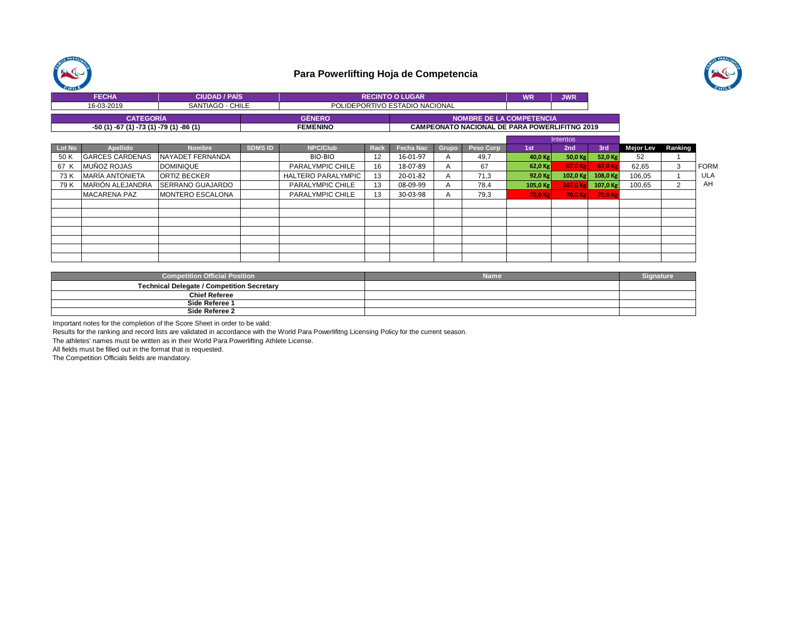



| <b>FECHA</b><br><b>CIUDAD / PAIS</b>    |                  |  | <b>RECINTO O LUGAR</b> | WR                                                   | <b>JWR</b> |  |  |  |  |
|-----------------------------------------|------------------|--|------------------------|------------------------------------------------------|------------|--|--|--|--|
| 16-03-2019                              | SANTIAGO - CHILE |  |                        | POLIDEPORTIVO ESTADIO NACIONAL                       |            |  |  |  |  |
| <b>CATEGORIA</b>                        |                  |  | <b>GENERO</b>          | <b>I NOMBRE DE LA COMPETENCIA '</b>                  |            |  |  |  |  |
| -50 (1) -67 (1) -73 (1) -79 (1) -86 (1) |                  |  | <b>FEMENINO</b>        | <b>CAMPEONATO NACIONAL DE PARA POWERLIFITNG 2019</b> |            |  |  |  |  |

|        |                         |                         |                |                           |      |                  |              |           | Intentos  |            |            |           |         |             |
|--------|-------------------------|-------------------------|----------------|---------------------------|------|------------------|--------------|-----------|-----------|------------|------------|-----------|---------|-------------|
| Lot No | Apellido                | <b>Nombre</b>           | <b>SDMS ID</b> | <b>NPC/Club</b>           | Rack | <b>Fecha Nac</b> | Grupo        | Peso Corp | 1st       | 2nd        | 3rd        | Mejor Lev | Ranking |             |
| 50 K   | <b>GARCES CARDENAS</b>  | NAYADET FERNANDA        |                | BIO-BIO                   | 12   | 16-01-97         | А            | 49.7      | $40,0$ Kg | 50,0 $Kg$  | 52,0 Kg    | 52        |         |             |
| 67 K   | <b>IMUÑOZ ROJAS</b>     | <b>DOMINIQUE</b>        |                | PARALYMPIC CHILE          | 16   | 18-07-89         |              | 67        | 62,0 Kg   | 67.0 Kg    | 67,0 Kg    | 62.65     | 3       | <b>FORM</b> |
| 73 K   | <b>MARÍA ANTONIETA</b>  | <b>ORTIZ BECKER</b>     |                | <b>HALTERO PARALYMPIC</b> | 13   | 20-01-82         |              | 71.3      | 92,0 Kg   | $102,0$ Kg | $108,0$ Kg | 106,05    |         | <b>ULA</b>  |
| 79 K   | <b>MARIÓN ALEJANDRA</b> | <b>SERRANO GUAJARDO</b> |                | PARALYMPIC CHILE          | 13   | 08-09-99         | А            | 78,4      | 105,0 Kg  | 107.0K     | 107,0 Kg   | 100,65    |         | AH          |
|        | <b>MACARENA PAZ</b>     | <b>MONTERO ESCALONA</b> |                | PARALYMPIC CHILE          | 13   | 30-03-98         | $\mathsf{H}$ | 79,3      | 70,0 Kg   | 70.0 Kg    | 70,0 Kg    |           |         |             |
|        |                         |                         |                |                           |      |                  |              |           |           |            |            |           |         |             |
|        |                         |                         |                |                           |      |                  |              |           |           |            |            |           |         |             |
|        |                         |                         |                |                           |      |                  |              |           |           |            |            |           |         |             |
|        |                         |                         |                |                           |      |                  |              |           |           |            |            |           |         |             |
|        |                         |                         |                |                           |      |                  |              |           |           |            |            |           |         |             |
|        |                         |                         |                |                           |      |                  |              |           |           |            |            |           |         |             |
|        |                         |                         |                |                           |      |                  |              |           |           |            |            |           |         |             |

| <b>Competition Official Position</b>              | <b>Name</b> | Sianature |
|---------------------------------------------------|-------------|-----------|
| <b>Technical Delegate / Competition Secretary</b> |             |           |
| <b>Chief Referee</b>                              |             |           |
| Side Referee 1                                    |             |           |
| Side Referee 2                                    |             |           |

Important notes for the completion of the Score Sheet in order to be valid:

Results for the ranking and record lists are validated in accordance with the World Para Powerlifitng Licensing Policy for the current season.

The athletes' names must be written as in their World Para Powerlifting Athlete License.

All fields must be filled out in the format that is requested.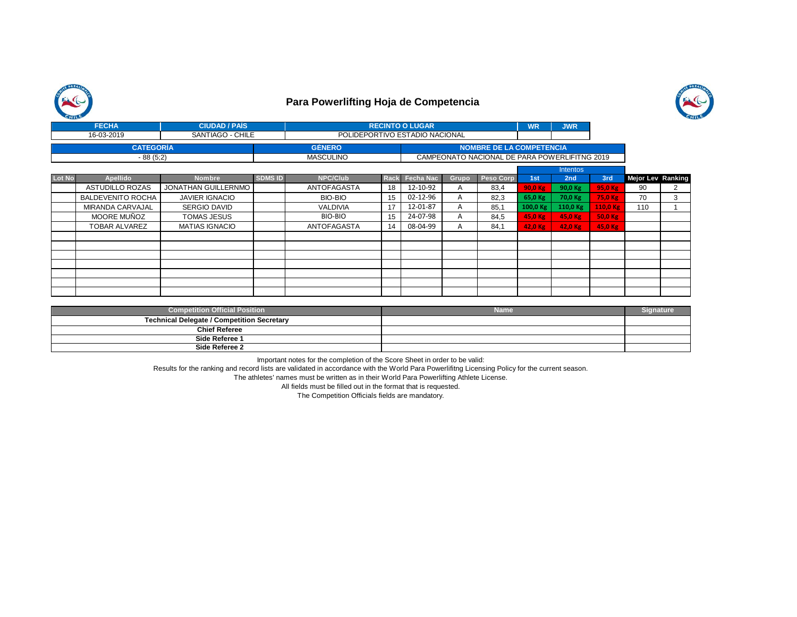



|        | <b>FECHA</b>             | <b>CIUDAD / PAIS</b>  |                  |                                | <b>RECINTO O LUGAR</b> |                                 |       | <b>WR</b>                                     | <b>JWR</b> |                 |          |                   |   |
|--------|--------------------------|-----------------------|------------------|--------------------------------|------------------------|---------------------------------|-------|-----------------------------------------------|------------|-----------------|----------|-------------------|---|
|        | 16-03-2019               | SANTIAGO - CHILE      |                  | POLIDEPORTIVO ESTADIO NACIONAL |                        |                                 |       |                                               |            |                 |          |                   |   |
|        | <b>CATEGORÍA</b>         |                       | <b>GÉNERO</b>    |                                |                        | <b>NOMBRE DE LA COMPETENCIA</b> |       |                                               |            |                 |          |                   |   |
|        | $-88(5;2)$               |                       | <b>MASCULINO</b> |                                |                        |                                 |       | CAMPEONATO NACIONAL DE PARA POWERLIFITNG 2019 |            |                 |          |                   |   |
|        |                          |                       |                  |                                |                        |                                 |       |                                               |            | <b>Intentos</b> |          |                   |   |
| Lot No | <b>Apellido</b>          | <b>Nombre</b>         | <b>SDMS ID</b>   | <b>NPC/Club</b>                |                        | Rack Fecha Nac                  | Grupo | <b>Peso Corp</b>                              | 1st        | 2nd             | 3rd      | Mejor Lev Ranking |   |
|        | ASTUDILLO ROZAS          | JONATHAN GUILLERNMO   |                  | <b>ANTOFAGASTA</b>             | 18                     | 12-10-92                        | A     | 83,4                                          | 90,0 Kg    | 90,0 Kg         | 95,0 Kg  | 90                | 2 |
|        | <b>BALDEVENITO ROCHA</b> | <b>JAVIER IGNACIO</b> |                  | BIO-BIO                        | 15                     | 02-12-96                        | A     | 82,3                                          | 65,0 Kg    | 70,0 Kg         | 75,0 Kg  | 70                | 3 |
|        | MIRANDA CARVAJAL         | SERGIO DAVID          |                  | <b>VALDIVIA</b>                | 17                     | 12-01-87                        | A     | 85,1                                          | 100,0 Kg   | 110,0 Kg        | 110,0 Kg | 110               |   |
|        | MOORE MUÑOZ              | TOMAS JESUS           |                  | BIO-BIO                        | 15                     | 24-07-98                        | A     | 84,5                                          | 45,0 Kg    | 45,0 Kg         | 50,0 Kg  |                   |   |
|        | TOBAR ALVAREZ            | <b>MATIAS IGNACIO</b> |                  | <b>ANTOFAGASTA</b>             | 14                     | 08-04-99                        | A     | 84.1                                          | 42,0 Kg    | 42,0 Kg         | 45,0 Kg  |                   |   |
|        |                          |                       |                  |                                |                        |                                 |       |                                               |            |                 |          |                   |   |
|        |                          |                       |                  |                                |                        |                                 |       |                                               |            |                 |          |                   |   |
|        |                          |                       |                  |                                |                        |                                 |       |                                               |            |                 |          |                   |   |
|        |                          |                       |                  |                                |                        |                                 |       |                                               |            |                 |          |                   |   |
|        |                          |                       |                  |                                |                        |                                 |       |                                               |            |                 |          |                   |   |
|        |                          |                       |                  |                                |                        |                                 |       |                                               |            |                 |          |                   |   |
|        |                          |                       |                  |                                |                        |                                 |       |                                               |            |                 |          |                   |   |

| <b>Competition Official Position</b>              | <b>Name</b> | Sianature |
|---------------------------------------------------|-------------|-----------|
| <b>Technical Delegate / Competition Secretary</b> |             |           |
| <b>Chief Referee</b>                              |             |           |
| Side Referee 1                                    |             |           |
| Side Referee 2                                    |             |           |

Important notes for the completion of the Score Sheet in order to be valid:

Results for the ranking and record lists are validated in accordance with the World Para Powerlifitng Licensing Policy for the current season.

The athletes' names must be written as in their World Para Powerlifting Athlete License.

All fields must be filled out in the format that is requested.